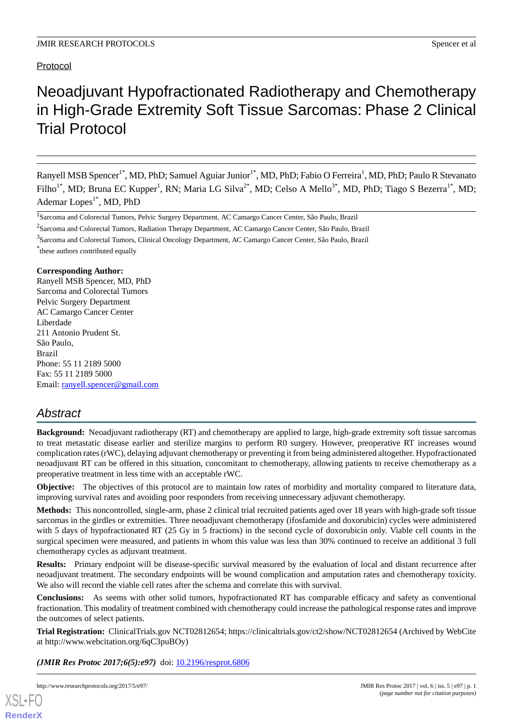## Protocol

# Neoadjuvant Hypofractionated Radiotherapy and Chemotherapy in High-Grade Extremity Soft Tissue Sarcomas: Phase 2 Clinical Trial Protocol

Ranyell MSB Spencer<sup>1\*</sup>, MD, PhD; Samuel Aguiar Junior<sup>1\*</sup>, MD, PhD; Fabio O Ferreira<sup>1</sup>, MD, PhD; Paulo R Stevanato Filho<sup>1\*</sup>, MD; Bruna EC Kupper<sup>1</sup>, RN; Maria LG Silva<sup>2\*</sup>, MD; Celso A Mello<sup>3\*</sup>, MD, PhD; Tiago S Bezerra<sup>1\*</sup>, MD; Ademar Lopes<sup>1\*</sup>, MD, PhD

<sup>2</sup>Sarcoma and Colorectal Tumors, Radiation Therapy Department, AC Camargo Cancer Center, São Paulo, Brazil

<sup>3</sup>Sarcoma and Colorectal Tumors, Clinical Oncology Department, AC Camargo Cancer Center, São Paulo, Brazil

\* these authors contributed equally

## **Corresponding Author:**

Ranyell MSB Spencer, MD, PhD Sarcoma and Colorectal Tumors Pelvic Surgery Department AC Camargo Cancer Center Liberdade 211 Antonio Prudent St. São Paulo, Brazil Phone: 55 11 2189 5000 Fax: 55 11 2189 5000 Email: [ranyell.spencer@gmail.com](mailto:ranyell.spencer@gmail.com)

## *Abstract*

**Background:** Neoadjuvant radiotherapy (RT) and chemotherapy are applied to large, high-grade extremity soft tissue sarcomas to treat metastatic disease earlier and sterilize margins to perform R0 surgery. However, preoperative RT increases wound complication rates (rWC), delaying adjuvant chemotherapy or preventing it from being administered altogether. Hypofractionated neoadjuvant RT can be offered in this situation, concomitant to chemotherapy, allowing patients to receive chemotherapy as a preoperative treatment in less time with an acceptable rWC.

**Objective:** The objectives of this protocol are to maintain low rates of morbidity and mortality compared to literature data, improving survival rates and avoiding poor responders from receiving unnecessary adjuvant chemotherapy.

**Methods:** This noncontrolled, single-arm, phase 2 clinical trial recruited patients aged over 18 years with high-grade soft tissue sarcomas in the girdles or extremities. Three neoadjuvant chemotherapy (ifosfamide and doxorubicin) cycles were administered with 5 days of hypofractionated RT (25 Gy in 5 fractions) in the second cycle of doxorubicin only. Viable cell counts in the surgical specimen were measured, and patients in whom this value was less than 30% continued to receive an additional 3 full chemotherapy cycles as adjuvant treatment.

**Results:** Primary endpoint will be disease-specific survival measured by the evaluation of local and distant recurrence after neoadjuvant treatment. The secondary endpoints will be wound complication and amputation rates and chemotherapy toxicity. We also will record the viable cell rates after the schema and correlate this with survival.

**Conclusions:** As seems with other solid tumors, hypofractionated RT has comparable efficacy and safety as conventional fractionation. This modality of treatment combined with chemotherapy could increase the pathological response rates and improve the outcomes of select patients.

**Trial Registration:** ClinicalTrials.gov NCT02812654; https://clinicaltrials.gov/ct2/show/NCT02812654 (Archived by WebCite at http://www.webcitation.org/6qC3puBOy)

(JMIR Res Protoc 2017;6(5):e97) doi: [10.2196/resprot.6806](http://dx.doi.org/10.2196/resprot.6806)

[XSL](http://www.w3.org/Style/XSL)•FO **[RenderX](http://www.renderx.com/)**

<sup>&</sup>lt;sup>1</sup> Sarcoma and Colorectal Tumors, Pelvic Surgery Department, AC Camargo Cancer Center, São Paulo, Brazil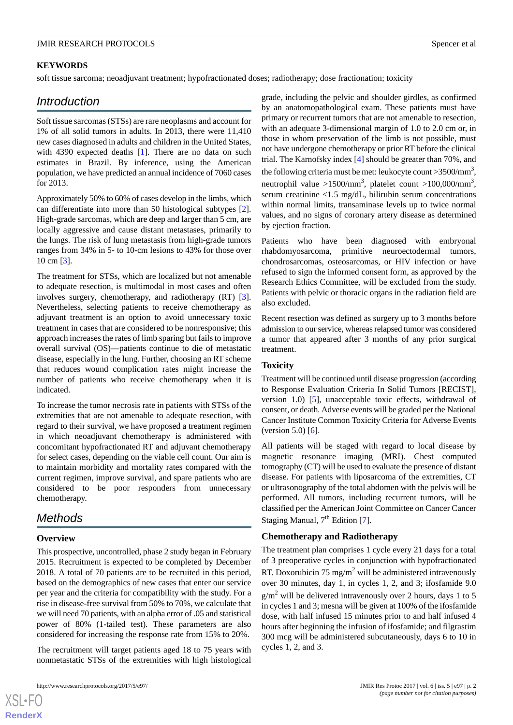## **KEYWORDS**

soft tissue sarcoma; neoadjuvant treatment; hypofractionated doses; radiotherapy; dose fractionation; toxicity

## *Introduction*

Soft tissue sarcomas (STSs) are rare neoplasms and account for 1% of all solid tumors in adults. In 2013, there were 11,410 new cases diagnosed in adults and children in the United States, with 4390 expected deaths [[1\]](#page-4-0). There are no data on such estimates in Brazil. By inference, using the American population, we have predicted an annual incidence of 7060 cases for 2013.

Approximately 50% to 60% of cases develop in the limbs, which can differentiate into more than 50 histological subtypes [[2\]](#page-4-1). High-grade sarcomas, which are deep and larger than 5 cm, are locally aggressive and cause distant metastases, primarily to the lungs. The risk of lung metastasis from high-grade tumors ranges from 34% in 5- to 10-cm lesions to 43% for those over 10 cm [\[3](#page-4-2)].

The treatment for STSs, which are localized but not amenable to adequate resection, is multimodal in most cases and often involves surgery, chemotherapy, and radiotherapy (RT) [[3\]](#page-4-2). Nevertheless, selecting patients to receive chemotherapy as adjuvant treatment is an option to avoid unnecessary toxic treatment in cases that are considered to be nonresponsive; this approach increases the rates of limb sparing but fails to improve overall survival (OS)—patients continue to die of metastatic disease, especially in the lung. Further, choosing an RT scheme that reduces wound complication rates might increase the number of patients who receive chemotherapy when it is indicated.

To increase the tumor necrosis rate in patients with STSs of the extremities that are not amenable to adequate resection, with regard to their survival, we have proposed a treatment regimen in which neoadjuvant chemotherapy is administered with concomitant hypofractionated RT and adjuvant chemotherapy for select cases, depending on the viable cell count. Our aim is to maintain morbidity and mortality rates compared with the current regimen, improve survival, and spare patients who are considered to be poor responders from unnecessary chemotherapy.

## *Methods*

## **Overview**

[XSL](http://www.w3.org/Style/XSL)•FO **[RenderX](http://www.renderx.com/)**

This prospective, uncontrolled, phase 2 study began in February 2015. Recruitment is expected to be completed by December 2018. A total of 70 patients are to be recruited in this period, based on the demographics of new cases that enter our service per year and the criteria for compatibility with the study. For a rise in disease-free survival from 50% to 70%, we calculate that we will need 70 patients, with an alpha error of .05 and statistical power of 80% (1-tailed test). These parameters are also considered for increasing the response rate from 15% to 20%.

The recruitment will target patients aged 18 to 75 years with nonmetastatic STSs of the extremities with high histological

http://www.researchprotocols.org/2017/5/e97/ JMIR Res Protoc 2017 | vol. 6 | iss. 5 | e97 | p. 2

grade, including the pelvic and shoulder girdles, as confirmed by an anatomopathological exam. These patients must have primary or recurrent tumors that are not amenable to resection, with an adequate 3-dimensional margin of 1.0 to 2.0 cm or, in those in whom preservation of the limb is not possible, must not have undergone chemotherapy or prior RT before the clinical trial. The Karnofsky index [\[4](#page-4-3)] should be greater than 70%, and the following criteria must be met: leukocyte count > 3500/mm<sup>3</sup>, neutrophil value >1500/mm<sup>3</sup>, platelet count >100,000/mm<sup>3</sup>, serum creatinine <1.5 mg/dL, bilirubin serum concentrations within normal limits, transaminase levels up to twice normal values, and no signs of coronary artery disease as determined by ejection fraction.

Patients who have been diagnosed with embryonal rhabdomyosarcoma, primitive neuroectodermal tumors, chondrosarcomas, osteosarcomas, or HIV infection or have refused to sign the informed consent form, as approved by the Research Ethics Committee, will be excluded from the study. Patients with pelvic or thoracic organs in the radiation field are also excluded.

Recent resection was defined as surgery up to 3 months before admission to our service, whereas relapsed tumor was considered a tumor that appeared after 3 months of any prior surgical treatment.

#### **Toxicity**

Treatment will be continued until disease progression (according to Response Evaluation Criteria In Solid Tumors [RECIST], version 1.0) [\[5](#page-4-4)], unacceptable toxic effects, withdrawal of consent, or death. Adverse events will be graded per the National Cancer Institute Common Toxicity Criteria for Adverse Events (version 5.0)  $[6]$  $[6]$ .

All patients will be staged with regard to local disease by magnetic resonance imaging (MRI). Chest computed tomography (CT) will be used to evaluate the presence of distant disease. For patients with liposarcoma of the extremities, CT or ultrasonography of the total abdomen with the pelvis will be performed. All tumors, including recurrent tumors, will be classified per the American Joint Committee on Cancer Cancer Staging Manual, 7<sup>th</sup> Edition [\[7\]](#page-4-6).

#### **Chemotherapy and Radiotherapy**

The treatment plan comprises 1 cycle every 21 days for a total of 3 preoperative cycles in conjunction with hypofractionated RT. Doxorubicin 75 mg/m<sup>2</sup> will be administered intravenously over 30 minutes, day 1, in cycles 1, 2, and 3; ifosfamide 9.0  $g/m^2$  will be delivered intravenously over 2 hours, days 1 to 5 in cycles 1 and 3; mesna will be given at 100% of the ifosfamide dose, with half infused 15 minutes prior to and half infused 4 hours after beginning the infusion of ifosfamide; and filgrastim 300 mcg will be administered subcutaneously, days 6 to 10 in cycles 1, 2, and 3.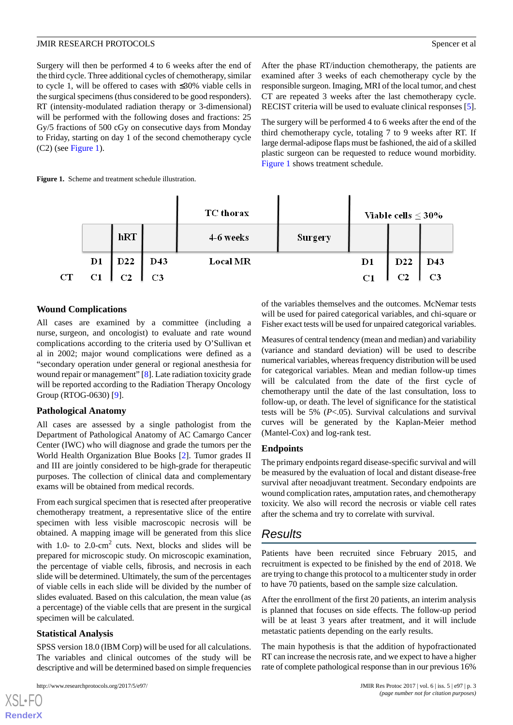Surgery will then be performed 4 to 6 weeks after the end of the third cycle. Three additional cycles of chemotherapy, similar to cycle 1, will be offered to cases with ≤30% viable cells in the surgical specimens (thus considered to be good responders). RT (intensity-modulated radiation therapy or 3-dimensional) will be performed with the following doses and fractions: 25 Gy/5 fractions of 500 cGy on consecutive days from Monday to Friday, starting on day 1 of the second chemotherapy cycle (C2) (see [Figure 1\)](#page-2-0).

After the phase RT/induction chemotherapy, the patients are examined after 3 weeks of each chemotherapy cycle by the responsible surgeon. Imaging, MRI of the local tumor, and chest CT are repeated 3 weeks after the last chemotherapy cycle. RECIST criteria will be used to evaluate clinical responses [[5\]](#page-4-4).

The surgery will be performed 4 to 6 weeks after the end of the third chemotherapy cycle, totaling 7 to 9 weeks after RT. If large dermal-adipose flaps must be fashioned, the aid of a skilled plastic surgeon can be requested to reduce wound morbidity. [Figure 1](#page-2-0) shows treatment schedule.

#### <span id="page-2-0"></span>Figure 1. Scheme and treatment schedule illustration.



## **Wound Complications**

All cases are examined by a committee (including a nurse, surgeon, and oncologist) to evaluate and rate wound complications according to the criteria used by O'Sullivan et al in 2002; major wound complications were defined as a "secondary operation under general or regional anesthesia for wound repair or management" [\[8](#page-4-7)]. Late radiation toxicity grade will be reported according to the Radiation Therapy Oncology Group (RTOG-0630) [[9\]](#page-4-8).

## **Pathological Anatomy**

All cases are assessed by a single pathologist from the Department of Pathological Anatomy of AC Camargo Cancer Center (IWC) who will diagnose and grade the tumors per the World Health Organization Blue Books [[2\]](#page-4-1). Tumor grades II and III are jointly considered to be high-grade for therapeutic purposes. The collection of clinical data and complementary exams will be obtained from medical records.

From each surgical specimen that is resected after preoperative chemotherapy treatment, a representative slice of the entire specimen with less visible macroscopic necrosis will be obtained. A mapping image will be generated from this slice with 1.0- to  $2.0$ -cm<sup>2</sup> cuts. Next, blocks and slides will be prepared for microscopic study. On microscopic examination, the percentage of viable cells, fibrosis, and necrosis in each slide will be determined. Ultimately, the sum of the percentages of viable cells in each slide will be divided by the number of slides evaluated. Based on this calculation, the mean value (as a percentage) of the viable cells that are present in the surgical specimen will be calculated.

## **Statistical Analysis**

[XSL](http://www.w3.org/Style/XSL)•FO **[RenderX](http://www.renderx.com/)**

SPSS version 18.0 (IBM Corp) will be used for all calculations. The variables and clinical outcomes of the study will be descriptive and will be determined based on simple frequencies

of the variables themselves and the outcomes. McNemar tests will be used for paired categorical variables, and chi-square or Fisher exact tests will be used for unpaired categorical variables.

Measures of central tendency (mean and median) and variability (variance and standard deviation) will be used to describe numerical variables, whereas frequency distribution will be used for categorical variables. Mean and median follow-up times will be calculated from the date of the first cycle of chemotherapy until the date of the last consultation, loss to follow-up, or death. The level of significance for the statistical tests will be 5% (*P*<.05). Survival calculations and survival curves will be generated by the Kaplan-Meier method (Mantel-Cox) and log-rank test.

## **Endpoints**

The primary endpoints regard disease-specific survival and will be measured by the evaluation of local and distant disease-free survival after neoadjuvant treatment. Secondary endpoints are wound complication rates, amputation rates, and chemotherapy toxicity. We also will record the necrosis or viable cell rates after the schema and try to correlate with survival.

## *Results*

Patients have been recruited since February 2015, and recruitment is expected to be finished by the end of 2018. We are trying to change this protocol to a multicenter study in order to have 70 patients, based on the sample size calculation.

After the enrollment of the first 20 patients, an interim analysis is planned that focuses on side effects. The follow-up period will be at least 3 years after treatment, and it will include metastatic patients depending on the early results.

The main hypothesis is that the addition of hypofractionated RT can increase the necrosis rate, and we expect to have a higher rate of complete pathological response than in our previous 16%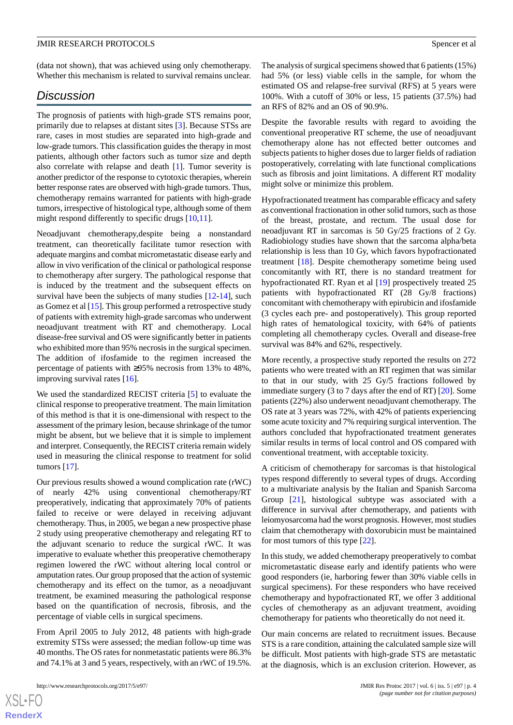(data not shown), that was achieved using only chemotherapy. Whether this mechanism is related to survival remains unclear.

## *Discussion*

The prognosis of patients with high-grade STS remains poor, primarily due to relapses at distant sites [[3\]](#page-4-2). Because STSs are rare, cases in most studies are separated into high-grade and low-grade tumors. This classification guides the therapy in most patients, although other factors such as tumor size and depth also correlate with relapse and death [[1\]](#page-4-0). Tumor severity is another predictor of the response to cytotoxic therapies, wherein better response rates are observed with high-grade tumors. Thus, chemotherapy remains warranted for patients with high-grade tumors, irrespective of histological type, although some of them might respond differently to specific drugs [[10,](#page-4-9)[11](#page-4-10)].

Neoadjuvant chemotherapy,despite being a nonstandard treatment, can theoretically facilitate tumor resection with adequate margins and combat micrometastatic disease early and allow in vivo verification of the clinical or pathological response to chemotherapy after surgery. The pathological response that is induced by the treatment and the subsequent effects on survival have been the subjects of many studies [\[12](#page-4-11)[-14](#page-4-12)], such as Gomez et al [\[15\]](#page-4-13). This group performed a retrospective study of patients with extremity high-grade sarcomas who underwent neoadjuvant treatment with RT and chemotherapy. Local disease-free survival and OS were significantly better in patients who exhibited more than 95% necrosis in the surgical specimen. The addition of ifosfamide to the regimen increased the percentage of patients with ≥95% necrosis from 13% to 48%, improving survival rates [[16\]](#page-4-14).

We used the standardized RECIST criteria [\[5](#page-4-4)] to evaluate the clinical response to preoperative treatment. The main limitation of this method is that it is one-dimensional with respect to the assessment of the primary lesion, because shrinkage of the tumor might be absent, but we believe that it is simple to implement and interpret. Consequently, the RECIST criteria remain widely used in measuring the clinical response to treatment for solid tumors [\[17](#page-4-15)].

Our previous results showed a wound complication rate (rWC) of nearly 42% using conventional chemotherapy/RT preoperatively, indicating that approximately 70% of patients failed to receive or were delayed in receiving adjuvant chemotherapy. Thus, in 2005, we began a new prospective phase 2 study using preoperative chemotherapy and relegating RT to the adjuvant scenario to reduce the surgical rWC. It was imperative to evaluate whether this preoperative chemotherapy regimen lowered the rWC without altering local control or amputation rates. Our group proposed that the action of systemic chemotherapy and its effect on the tumor, as a neoadjuvant treatment, be examined measuring the pathological response based on the quantification of necrosis, fibrosis, and the percentage of viable cells in surgical specimens.

From April 2005 to July 2012, 48 patients with high-grade extremity STSs were assessed; the median follow-up time was 40 months. The OS rates for nonmetastatic patients were 86.3% and 74.1% at 3 and 5 years, respectively, with an rWC of 19.5%.

The analysis of surgical specimens showed that 6 patients (15%) had 5% (or less) viable cells in the sample, for whom the estimated OS and relapse-free survival (RFS) at 5 years were 100%. With a cutoff of 30% or less, 15 patients (37.5%) had an RFS of 82% and an OS of 90.9%.

Despite the favorable results with regard to avoiding the conventional preoperative RT scheme, the use of neoadjuvant chemotherapy alone has not effected better outcomes and subjects patients to higher doses due to larger fields of radiation postoperatively, correlating with late functional complications such as fibrosis and joint limitations. A different RT modality might solve or minimize this problem.

Hypofractionated treatment has comparable efficacy and safety as conventional fractionation in other solid tumors, such as those of the breast, prostate, and rectum. The usual dose for neoadjuvant RT in sarcomas is 50 Gy/25 fractions of 2 Gy. Radiobiology studies have shown that the sarcoma alpha/beta relationship is less than 10 Gy, which favors hypofractionated treatment [\[18](#page-5-0)]. Despite chemotherapy sometime being used concomitantly with RT, there is no standard treatment for hypofractionated RT. Ryan et al [[19\]](#page-5-1) prospectively treated 25 patients with hypofractionated RT (28 Gy/8 fractions) concomitant with chemotherapy with epirubicin and ifosfamide (3 cycles each pre- and postoperatively). This group reported high rates of hematological toxicity, with 64% of patients completing all chemotherapy cycles. Overall and disease-free survival was 84% and 62%, respectively.

More recently, a prospective study reported the results on 272 patients who were treated with an RT regimen that was similar to that in our study, with 25 Gy/5 fractions followed by immediate surgery (3 to 7 days after the end of RT) [[20\]](#page-5-2). Some patients (22%) also underwent neoadjuvant chemotherapy. The OS rate at 3 years was 72%, with 42% of patients experiencing some acute toxicity and 7% requiring surgical intervention. The authors concluded that hypofractionated treatment generates similar results in terms of local control and OS compared with conventional treatment, with acceptable toxicity.

A criticism of chemotherapy for sarcomas is that histological types respond differently to several types of drugs. According to a multivariate analysis by the Italian and Spanish Sarcoma Group [\[21](#page-5-3)], histological subtype was associated with a difference in survival after chemotherapy, and patients with leiomyosarcoma had the worst prognosis. However, most studies claim that chemotherapy with doxorubicin must be maintained for most tumors of this type [[22\]](#page-5-4).

In this study, we added chemotherapy preoperatively to combat micrometastatic disease early and identify patients who were good responders (ie, harboring fewer than 30% viable cells in surgical specimens). For these responders who have received chemotherapy and hypofractionated RT, we offer 3 additional cycles of chemotherapy as an adjuvant treatment, avoiding chemotherapy for patients who theoretically do not need it.

Our main concerns are related to recruitment issues. Because STS is a rare condition, attaining the calculated sample size will be difficult. Most patients with high-grade STS are metastatic at the diagnosis, which is an exclusion criterion. However, as

 $XSI - F($ **[RenderX](http://www.renderx.com/)**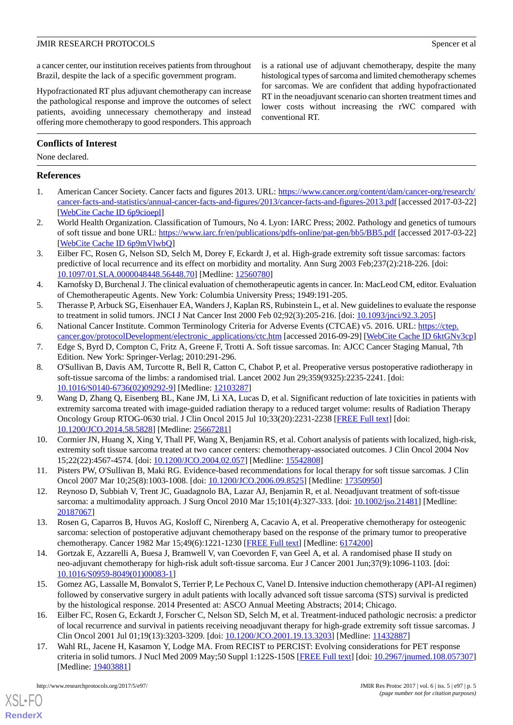a cancer center, our institution receives patients from throughout Brazil, despite the lack of a specific government program.

Hypofractionated RT plus adjuvant chemotherapy can increase the pathological response and improve the outcomes of select patients, avoiding unnecessary chemotherapy and instead offering more chemotherapy to good responders. This approach

## **Conflicts of Interest**

None declared.

## <span id="page-4-0"></span>**References**

- <span id="page-4-1"></span>1. American Cancer Society. Cancer facts and figures 2013. URL: [https://www.cancer.org/content/dam/cancer-org/research/](https://www.cancer.org/content/dam/cancer-org/research/cancer-facts-and-statistics/annual-cancer-facts-and-figures/2013/cancer-facts-and-figures-2013.pdf) [cancer-facts-and-statistics/annual-cancer-facts-and-figures/2013/cancer-facts-and-figures-2013.pdf](https://www.cancer.org/content/dam/cancer-org/research/cancer-facts-and-statistics/annual-cancer-facts-and-figures/2013/cancer-facts-and-figures-2013.pdf) [accessed 2017-03-22] [[WebCite Cache ID 6p9cioepl](http://www.webcitation.org/

                                6p9cioepl)]
- <span id="page-4-2"></span>2. World Health Organization. Classification of Tumours, No 4. Lyon: IARC Press; 2002. Pathology and genetics of tumours of soft tissue and bone URL:<https://www.iarc.fr/en/publications/pdfs-online/pat-gen/bb5/BB5.pdf> [accessed 2017-03-22] [[WebCite Cache ID 6p9mVlwbQ\]](http://www.webcitation.org/

                                6p9mVlwbQ)
- <span id="page-4-3"></span>3. Eilber FC, Rosen G, Nelson SD, Selch M, Dorey F, Eckardt J, et al. High-grade extremity soft tissue sarcomas: factors predictive of local recurrence and its effect on morbidity and mortality. Ann Surg 2003 Feb;237(2):218-226. [doi: [10.1097/01.SLA.0000048448.56448.70\]](http://dx.doi.org/10.1097/01.SLA.0000048448.56448.70) [Medline: [12560780\]](http://www.ncbi.nlm.nih.gov/entrez/query.fcgi?cmd=Retrieve&db=PubMed&list_uids=12560780&dopt=Abstract)
- <span id="page-4-5"></span><span id="page-4-4"></span>4. Karnofsky D, Burchenal J. The clinical evaluation of chemotherapeutic agents in cancer. In: MacLeod CM, editor. Evaluation of Chemotherapeutic Agents. New York: Columbia University Press; 1949:191-205.
- <span id="page-4-6"></span>5. Therasse P, Arbuck SG, Eisenhauer EA, Wanders J, Kaplan RS, Rubinstein L, et al. New guidelines to evaluate the response to treatment in solid tumors. JNCI J Nat Cancer Inst 2000 Feb 02;92(3):205-216. [doi: [10.1093/jnci/92.3.205](http://dx.doi.org/10.1093/jnci/92.3.205)]
- <span id="page-4-7"></span>6. National Cancer Institute. Common Terminology Criteria for Adverse Events (CTCAE) v5. 2016. URL: [https://ctep.](https://ctep.cancer.gov/protocolDevelopment/electronic_applications/ctc.htm) [cancer.gov/protocolDevelopment/electronic\\_applications/ctc.htm](https://ctep.cancer.gov/protocolDevelopment/electronic_applications/ctc.htm) [accessed 2016-09-29] [[WebCite Cache ID 6ktGNv3cp](http://www.webcitation.org/

                                6ktGNv3cp)]
- 7. Edge S, Byrd D, Compton C, Fritz A, Greene F, Trotti A. Soft tissue sarcomas. In: AJCC Cancer Staging Manual, 7th Edition. New York: Springer-Verlag; 2010:291-296.
- <span id="page-4-8"></span>8. O'Sullivan B, Davis AM, Turcotte R, Bell R, Catton C, Chabot P, et al. Preoperative versus postoperative radiotherapy in soft-tissue sarcoma of the limbs: a randomised trial. Lancet 2002 Jun 29;359(9325):2235-2241. [doi: [10.1016/S0140-6736\(02\)09292-9\]](http://dx.doi.org/10.1016/S0140-6736(02)09292-9) [Medline: [12103287](http://www.ncbi.nlm.nih.gov/entrez/query.fcgi?cmd=Retrieve&db=PubMed&list_uids=12103287&dopt=Abstract)]
- <span id="page-4-9"></span>9. Wang D, Zhang Q, Eisenberg BL, Kane JM, Li XA, Lucas D, et al. Significant reduction of late toxicities in patients with extremity sarcoma treated with image-guided radiation therapy to a reduced target volume: results of Radiation Therapy Oncology Group RTOG-0630 trial. J Clin Oncol 2015 Jul 10;33(20):2231-2238 [[FREE Full text](http://europepmc.org/abstract/MED/25667281)] [doi: [10.1200/JCO.2014.58.5828](http://dx.doi.org/10.1200/JCO.2014.58.5828)] [Medline: [25667281\]](http://www.ncbi.nlm.nih.gov/entrez/query.fcgi?cmd=Retrieve&db=PubMed&list_uids=25667281&dopt=Abstract)
- <span id="page-4-11"></span><span id="page-4-10"></span>10. Cormier JN, Huang X, Xing Y, Thall PF, Wang X, Benjamin RS, et al. Cohort analysis of patients with localized, high-risk, extremity soft tissue sarcoma treated at two cancer centers: chemotherapy-associated outcomes. J Clin Oncol 2004 Nov 15;22(22):4567-4574. [doi: [10.1200/JCO.2004.02.057](http://dx.doi.org/10.1200/JCO.2004.02.057)] [Medline: [15542808\]](http://www.ncbi.nlm.nih.gov/entrez/query.fcgi?cmd=Retrieve&db=PubMed&list_uids=15542808&dopt=Abstract)
- 11. Pisters PW, O'Sullivan B, Maki RG. Evidence-based recommendations for local therapy for soft tissue sarcomas. J Clin Oncol 2007 Mar 10;25(8):1003-1008. [doi: [10.1200/JCO.2006.09.8525\]](http://dx.doi.org/10.1200/JCO.2006.09.8525) [Medline: [17350950](http://www.ncbi.nlm.nih.gov/entrez/query.fcgi?cmd=Retrieve&db=PubMed&list_uids=17350950&dopt=Abstract)]
- <span id="page-4-12"></span>12. Reynoso D, Subbiah V, Trent JC, Guadagnolo BA, Lazar AJ, Benjamin R, et al. Neoadjuvant treatment of soft-tissue sarcoma: a multimodality approach. J Surg Oncol 2010 Mar 15;101(4):327-333. [doi: [10.1002/jso.21481\]](http://dx.doi.org/10.1002/jso.21481) [Medline: [20187067](http://www.ncbi.nlm.nih.gov/entrez/query.fcgi?cmd=Retrieve&db=PubMed&list_uids=20187067&dopt=Abstract)]
- <span id="page-4-13"></span>13. Rosen G, Caparros B, Huvos AG, Kosloff C, Nirenberg A, Cacavio A, et al. Preoperative chemotherapy for osteogenic sarcoma: selection of postoperative adjuvant chemotherapy based on the response of the primary tumor to preoperative chemotherapy. Cancer 1982 Mar 15;49(6):1221-1230 [\[FREE Full text\]](http://onlinelibrary.wiley.com/resolve/openurl?genre=article&sid=nlm:pubmed&issn=0008-543X&date=1982&volume=49&issue=6&spage=1221) [Medline: [6174200\]](http://www.ncbi.nlm.nih.gov/entrez/query.fcgi?cmd=Retrieve&db=PubMed&list_uids=6174200&dopt=Abstract)
- <span id="page-4-14"></span>14. Gortzak E, Azzarelli A, Buesa J, Bramwell V, van Coevorden F, van Geel A, et al. A randomised phase II study on neo-adjuvant chemotherapy for high-risk adult soft-tissue sarcoma. Eur J Cancer 2001 Jun;37(9):1096-1103. [doi: [10.1016/S0959-8049\(01\)00083-1\]](http://dx.doi.org/10.1016/S0959-8049(01)00083-1)
- <span id="page-4-15"></span>15. Gomez AG, Lassalle M, Bonvalot S, Terrier P, Le Pechoux C, Vanel D. Intensive induction chemotherapy (API-AI regimen) followed by conservative surgery in adult patients with locally advanced soft tissue sarcoma (STS) survival is predicted by the histological response. 2014 Presented at: ASCO Annual Meeting Abstracts; 2014; Chicago.
- 16. Eilber FC, Rosen G, Eckardt J, Forscher C, Nelson SD, Selch M, et al. Treatment-induced pathologic necrosis: a predictor of local recurrence and survival in patients receiving neoadjuvant therapy for high-grade extremity soft tissue sarcomas. J Clin Oncol 2001 Jul 01;19(13):3203-3209. [doi: [10.1200/JCO.2001.19.13.3203\]](http://dx.doi.org/10.1200/JCO.2001.19.13.3203) [Medline: [11432887\]](http://www.ncbi.nlm.nih.gov/entrez/query.fcgi?cmd=Retrieve&db=PubMed&list_uids=11432887&dopt=Abstract)
- 17. Wahl RL, Jacene H, Kasamon Y, Lodge MA. From RECIST to PERCIST: Evolving considerations for PET response criteria in solid tumors. J Nucl Med 2009 May;50 Suppl 1:122S-150S [[FREE Full text\]](http://jnm.snmjournals.org/cgi/pmidlookup?view=long&pmid=19403881) [doi: [10.2967/jnumed.108.057307](http://dx.doi.org/10.2967/jnumed.108.057307)] [Medline: [19403881](http://www.ncbi.nlm.nih.gov/entrez/query.fcgi?cmd=Retrieve&db=PubMed&list_uids=19403881&dopt=Abstract)]

[XSL](http://www.w3.org/Style/XSL)•FO **[RenderX](http://www.renderx.com/)**

is a rational use of adjuvant chemotherapy, despite the many histological types of sarcoma and limited chemotherapy schemes for sarcomas. We are confident that adding hypofractionated RT in the neoadjuvant scenario can shorten treatment times and lower costs without increasing the rWC compared with conventional RT.